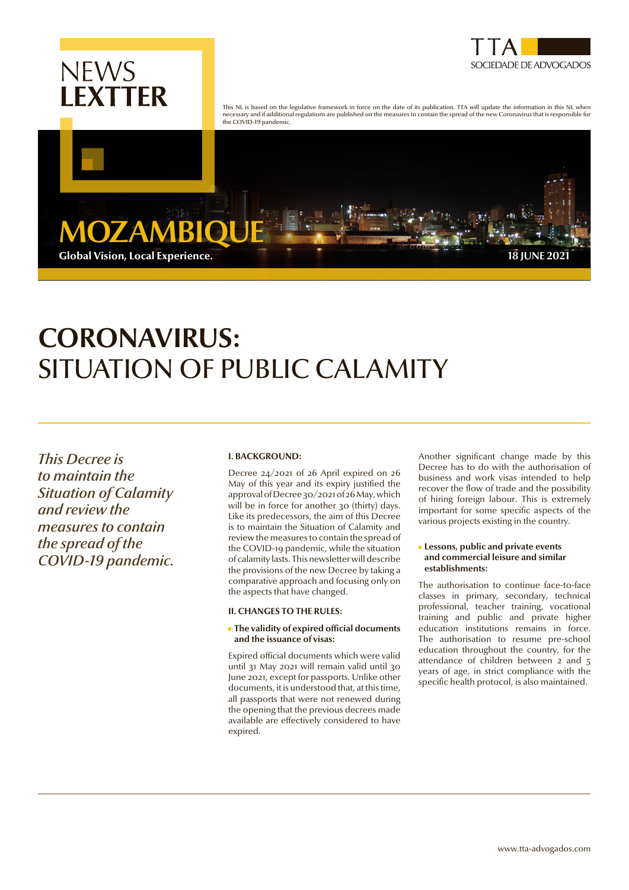



This NL is based on the legislative framework in force on the date of its publication. TTA will update the information in this NL when necessary and if additional regulations are published on the measures to contain the spread of the new Coronavirus that is responsible for the COVID-19 pandemic.

**MOZAMB** Global Vision, Local Experience. **18 JUNE 2021**

# **CORONAVIRUS:**  SITUATION OF PUBLIC CALAMITY

*This Decree is to maintain the Situation of Calamity and review the measures to contain the spread of the COVID-19 pandemic.*

## **I. BACKGROUND:**

Decree 24/2021 of 26 April expired on 26 May of this year and its expiry justified the approval of Decree 30/2021 of 26 May, which will be in force for another 30 (thirty) days. Like its predecessors, the aim of this Decree is to maintain the Situation of Calamity and review the measures to contain the spread of the COVID-19 pandemic, while the situation of calamity lasts. This newsletter will describe the provisions of the new Decree by taking a comparative approach and focusing only on the aspects that have changed.

## **II. CHANGES TO THE RULES:**

#### **The validity of expired official documents and the issuance of visas:**

Expired official documents which were valid until 31 May 2021 will remain valid until 30 June 2021, except for passports. Unlike other documents, it is understood that, at this time, all passports that were not renewed during the opening that the previous decrees made available are effectively considered to have expired.

Another significant change made by this Decree has to do with the authorisation of business and work visas intended to help recover the flow of trade and the possibility of hiring foreign labour. This is extremely important for some specific aspects of the various projects existing in the country.

#### **Lessons, public and private events and commercial leisure and similar establishments:**

The authorisation to continue face-to-face classes in primary, secondary, technical professional, teacher training, vocational training and public and private higher education institutions remains in force. The authorisation to resume pre-school education throughout the country, for the attendance of children between 2 and 5 years of age, in strict compliance with the specific health protocol, is also maintained.